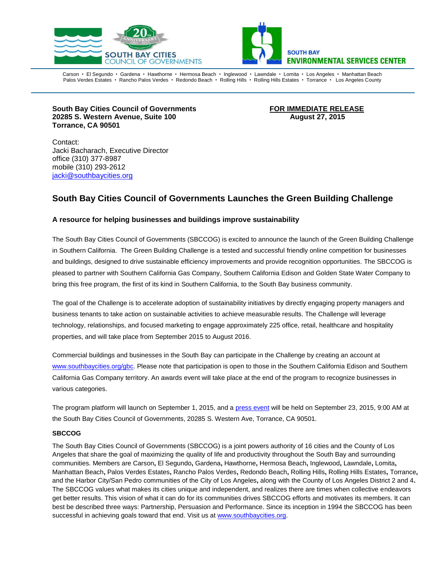



Carson • El Segundo • Gardena • Hawthorne • Hermosa Beach • Inglewood • Lawndale • Lomita • Los Angeles • Manhattan Beach Palos Verdes Estates · Rancho Palos Verdes · Redondo Beach · Rolling Hills · Rolling Hills Estates · Torrance · Los Angeles County

**South Bay Cities Council of Governments FOR IMMEDIATE RELEASE 20285 S. Western Avenue, Suite 100 August 27, 2015 Torrance, CA 90501**

Contact: Jacki Bacharach, Executive Director office (310) 377-8987 mobile (310) 293-2612 [jacki@southbaycities.org](mailto:marilyn@sbesc.com)

## **South Bay Cities Council of Governments Launches the Green Building Challenge**

## **A resource for helping businesses and buildings improve sustainability**

The South Bay Cities Council of Governments (SBCCOG) is excited to announce the launch of the Green Building Challenge in Southern California. The Green Building Challenge is a tested and successful friendly online competition for businesses and buildings, designed to drive sustainable efficiency improvements and provide recognition opportunities. The SBCCOG is pleased to partner with Southern California Gas Company, Southern California Edison and Golden State Water Company to bring this free program, the first of its kind in Southern California, to the South Bay business community.

The goal of the Challenge is to accelerate adoption of sustainability initiatives by directly engaging property managers and business tenants to take action on sustainable activities to achieve measurable results. The Challenge will leverage technology, relationships, and focused marketing to engage approximately 225 office, retail, healthcare and hospitality properties, and will take place from September 2015 to August 2016.

Commercial buildings and businesses in the South Bay can participate in the Challenge by creating an account at [www.southbaycities.org/gbc.](http://www.southbaycities.org/gbc) Please note that participation is open to those in the Southern California Edison and Southern California Gas Company territory. An awards event will take place at the end of the program to recognize businesses in various categories.

The program platform will launch on September 1, 2015, and a [press event](http://www.southbaycities.org/meetings-agendas/workshops/green-building-challenge-launch-event) will be held on September 23, 2015, 9:00 AM at the South Bay Cities Council of Governments, 20285 S. Western Ave, Torrance, CA 90501.

## **SBCCOG**

The South Bay Cities Council of Governments (SBCCOG) is a joint powers authority of 16 cities and the County of Los Angeles that share the goal of maximizing the quality of life and productivity throughout the South Bay and surrounding communities. Members are [Carson](http://ci.carson.ca.us/)**,** [El Segundo](http://www.elsegundo.org/)**,** [Gardena](http://www.ci.gardena.ca.us/)**,** [Hawthorne](http://www.cityofhawthorne.com/)**,** [Hermosa Beach](http://www.hermosabch.org/)**,** [Inglewood](http://www.cityofinglewood.org/default.asp)**,** [Lawndale](http://www.lawndalecity.org/)**,** [Lomita](http://www.lomita.com/cityhall/)**,**  [Manhattan Beach](http://www.ci.manhattan-beach.ca.us/)**,** [Palos Verdes Estates](http://palosverdes.com/pve/)**,** [Rancho Palos Verdes](http://www.palosverdes.com/rpv/)**,** [Redondo Beach](http://www.redondo.org/default.asp)**,** [Rolling Hills](http://www.palosverdes.com/rh/)**,** [Rolling Hills](http://www.ci.rolling-hills-estates.ca.us/) Estates**,** [Torrance](http://www.ci.torrance.ca.us/)**,**  and the Harbor City/San Pedro communities of the [City of Los Angeles](http://www.sanpedro.com/)**,** along with the [County of Los Angeles District 2 and 4](http://portal.lacounty.gov/wps/portal/%21ut/p/c1/04_SB8K8xLLM9MSSzPy8xBz9CP0os3gLAwgwsjAJdDMw8nG1CPU0NTYy8DUEykfilg80I6A7HGQfHv2mBOTNIPIGOICjgb6fR35uqn5BboRBZkC6IgB6KXqV/dl2/d1/L2dJQSEvUUt3QS9ZQnB3LzZfODAwMDAwMDAyOExUMzAyTFE5TlVQQTBHQTI%21/)**.**  The SBCCOG values what makes its cities unique and independent, and realizes there are times when collective endeavors get better results. This vision of what it can do for its communities drives SBCCOG efforts and motivates its members. It can best be described three ways: Partnership, Persuasion and Performance. Since its inception in 1994 the SBCCOG has been successful in achieving goals toward that end. Visit us at [www.southbaycities.org.](http://www.southbaycities.org/)